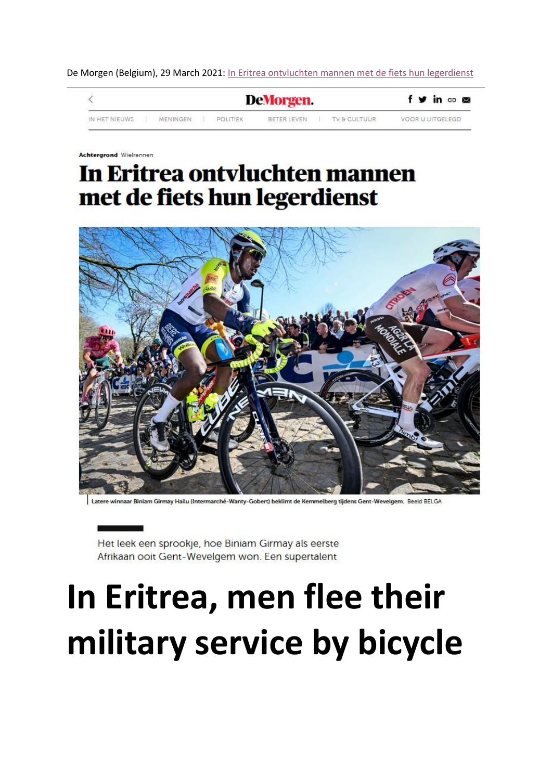De Morgen (Belgium), 29 March 2021[: In Eritrea ontvluchten mannen met de fiets hun legerdienst](https://archive.ph/lFFsK)



Achtergrond Wielrenner

# In Eritrea ontvluchten mannen met de fiets hun legerdienst



winnaar Biniam Girmay Hailu (Intermarché-Wanty-Gobert) beklimt de Kemmelberg tijdens Gent-Wevelgem. Beeld BELGA

Het leek een sprookje, hoe Biniam Girmay als eerste Afrikaan ooit Gent-Wevelgem won. Een supertalent

# **In Eritrea, men flee their military service by bicycle**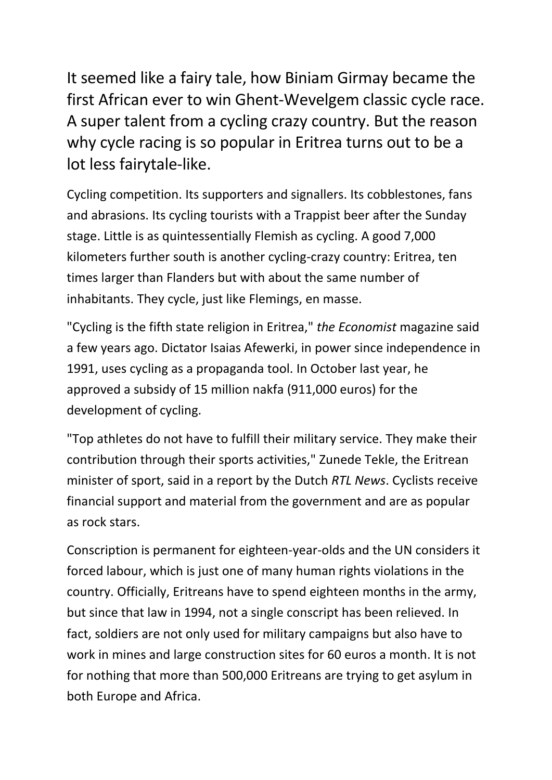It seemed like a fairy tale, how Biniam Girmay became the first African ever to win Ghent-Wevelgem classic cycle race. A super talent from a cycling crazy country. But the reason why cycle racing is so popular in Eritrea turns out to be a lot less fairytale-like.

Cycling competition. Its supporters and signallers. Its cobblestones, fans and abrasions. Its cycling tourists with a Trappist beer after the Sunday stage. Little is as quintessentially Flemish as cycling. A good 7,000 kilometers further south is another cycling-crazy country: Eritrea, ten times larger than Flanders but with about the same number of inhabitants. They cycle, just like Flemings, en masse.

"Cycling is the fifth state religion in Eritrea," *the Economist* magazine said a few years ago. Dictator Isaias Afewerki, in power since independence in 1991, uses cycling as a propaganda tool. In October last year, he approved a subsidy of 15 million nakfa (911,000 euros) for the development of cycling.

"Top athletes do not have to fulfill their military service. They make their contribution through their sports activities," Zunede Tekle, the Eritrean minister of sport, said in a report by the Dutch *RTL News*. Cyclists receive financial support and material from the government and are as popular as rock stars.

Conscription is permanent for eighteen-year-olds and the UN considers it forced labour, which is just one of many human rights violations in the country. Officially, Eritreans have to spend eighteen months in the army, but since that law in 1994, not a single conscript has been relieved. In fact, soldiers are not only used for military campaigns but also have to work in mines and large construction sites for 60 euros a month. It is not for nothing that more than 500,000 Eritreans are trying to get asylum in both Europe and Africa.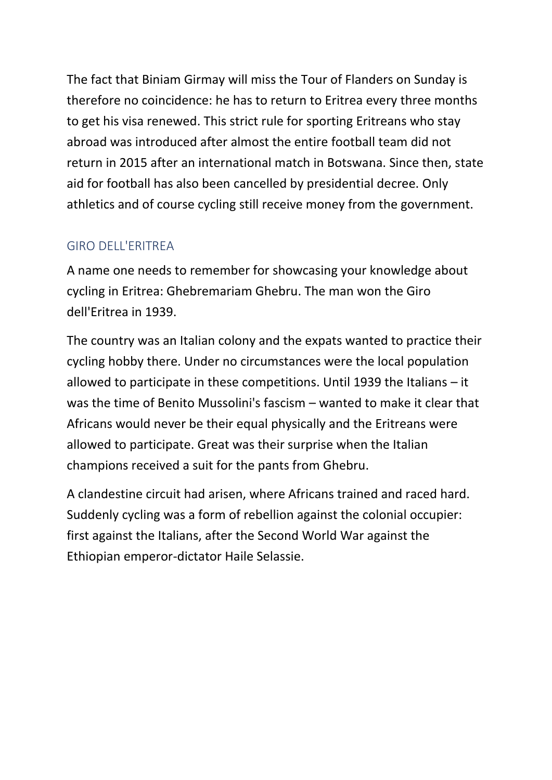The fact that Biniam Girmay will miss the Tour of Flanders on Sunday is therefore no coincidence: he has to return to Eritrea every three months to get his visa renewed. This strict rule for sporting Eritreans who stay abroad was introduced after almost the entire football team did not return in 2015 after an international match in Botswana. Since then, state aid for football has also been cancelled by presidential decree. Only athletics and of course cycling still receive money from the government.

## GIRO DELL'ERITREA

A name one needs to remember for showcasing your knowledge about cycling in Eritrea: Ghebremariam Ghebru. The man won the Giro dell'Eritrea in 1939.

The country was an Italian colony and the expats wanted to practice their cycling hobby there. Under no circumstances were the local population allowed to participate in these competitions. Until 1939 the Italians – it was the time of Benito Mussolini's fascism – wanted to make it clear that Africans would never be their equal physically and the Eritreans were allowed to participate. Great was their surprise when the Italian champions received a suit for the pants from Ghebru.

A clandestine circuit had arisen, where Africans trained and raced hard. Suddenly cycling was a form of rebellion against the colonial occupier: first against the Italians, after the Second World War against the Ethiopian emperor-dictator Haile Selassie.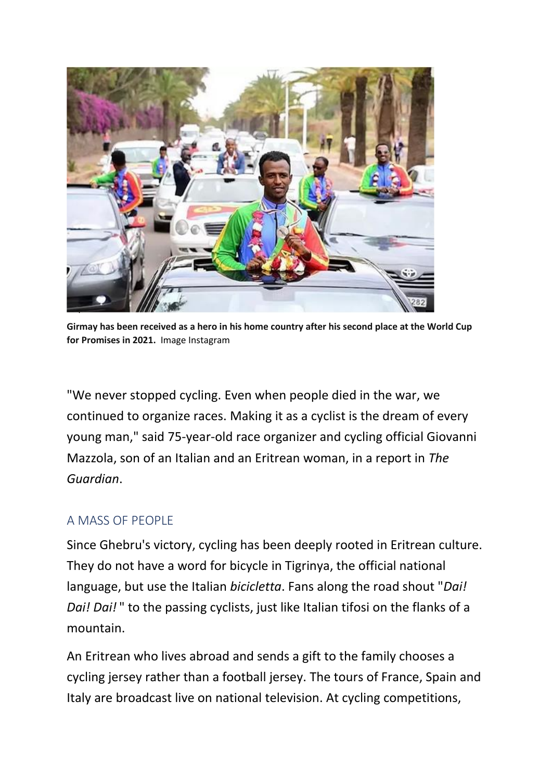

**Girmay has been received as a hero in his home country after his second place at the World Cup for Promises in 2021.** Image Instagram

"We never stopped cycling. Even when people died in the war, we continued to organize races. Making it as a cyclist is the dream of every young man," said 75-year-old race organizer and cycling official Giovanni Mazzola, son of an Italian and an Eritrean woman, in a report in *The Guardian*.

### A MASS OF PEOPLE

Since Ghebru's victory, cycling has been deeply rooted in Eritrean culture. They do not have a word for bicycle in Tigrinya, the official national language, but use the Italian *bicicletta*. Fans along the road shout "*Dai! Dai! Dai!* " to the passing cyclists, just like Italian tifosi on the flanks of a mountain.

An Eritrean who lives abroad and sends a gift to the family chooses a cycling jersey rather than a football jersey. The tours of France, Spain and Italy are broadcast live on national television. At cycling competitions,